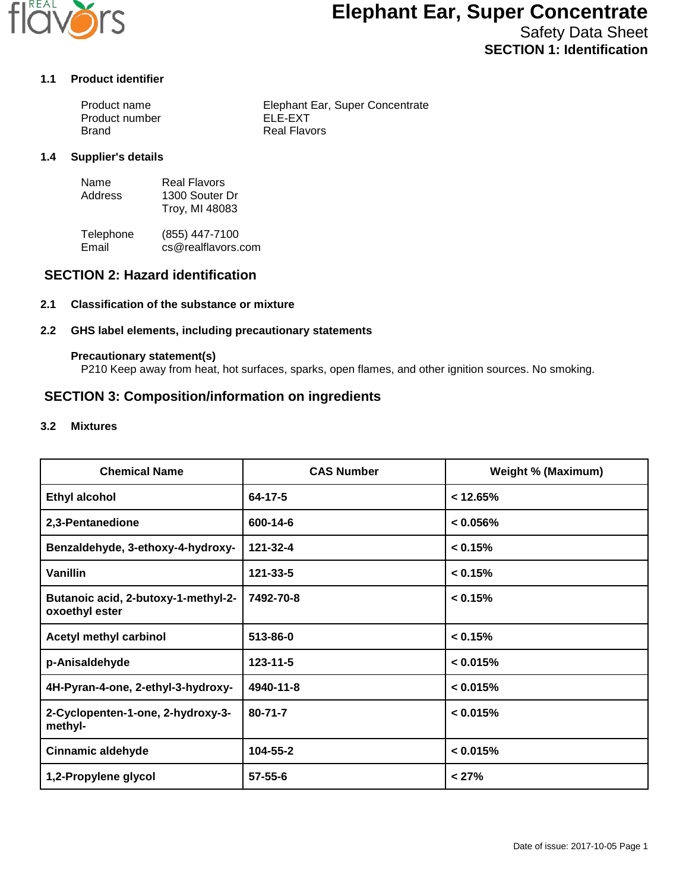

# **Elephant Ear, Super Concentrate**

Safety Data Sheet **SECTION 1: Identification**

### **1.1 Product identifier**

| Product name   | Elephant Ear, Super Concentrate |
|----------------|---------------------------------|
| Product number | ELE-EXT                         |
| Brand          | Real Flavors                    |

### **1.4 Supplier's details**

| Name    | Real Flavors   |
|---------|----------------|
| Address | 1300 Souter Dr |
|         | Troy, MI 48083 |

Telephone (855) 447-7100<br>Email cs@realflavors. cs@realflavors.com

## **SECTION 2: Hazard identification**

### **2.1 Classification of the substance or mixture**

### **2.2 GHS label elements, including precautionary statements**

### **Precautionary statement(s)**

P210 Keep away from heat, hot surfaces, sparks, open flames, and other ignition sources. No smoking.

## **SECTION 3: Composition/information on ingredients**

### **3.2 Mixtures**

| <b>Chemical Name</b>                                  | <b>CAS Number</b> | <b>Weight % (Maximum)</b> |
|-------------------------------------------------------|-------------------|---------------------------|
| <b>Ethyl alcohol</b>                                  | $64 - 17 - 5$     | $< 12.65\%$               |
| 2,3-Pentanedione                                      | 600-14-6          | $< 0.056\%$               |
| Benzaldehyde, 3-ethoxy-4-hydroxy-                     | 121-32-4          | < 0.15%                   |
| <b>Vanillin</b>                                       | 121-33-5          | < 0.15%                   |
| Butanoic acid, 2-butoxy-1-methyl-2-<br>oxoethyl ester | 7492-70-8         | < 0.15%                   |
| Acetyl methyl carbinol                                | 513-86-0          | < 0.15%                   |
| p-Anisaldehyde                                        | $123 - 11 - 5$    | < 0.015%                  |
| 4H-Pyran-4-one, 2-ethyl-3-hydroxy-                    | 4940-11-8         | < 0.015%                  |
| 2-Cyclopenten-1-one, 2-hydroxy-3-<br>methyl-          | $80 - 71 - 7$     | < 0.015%                  |
| <b>Cinnamic aldehyde</b>                              | 104-55-2          | < 0.015%                  |
| 1,2-Propylene glycol                                  | $57 - 55 - 6$     | < 27%                     |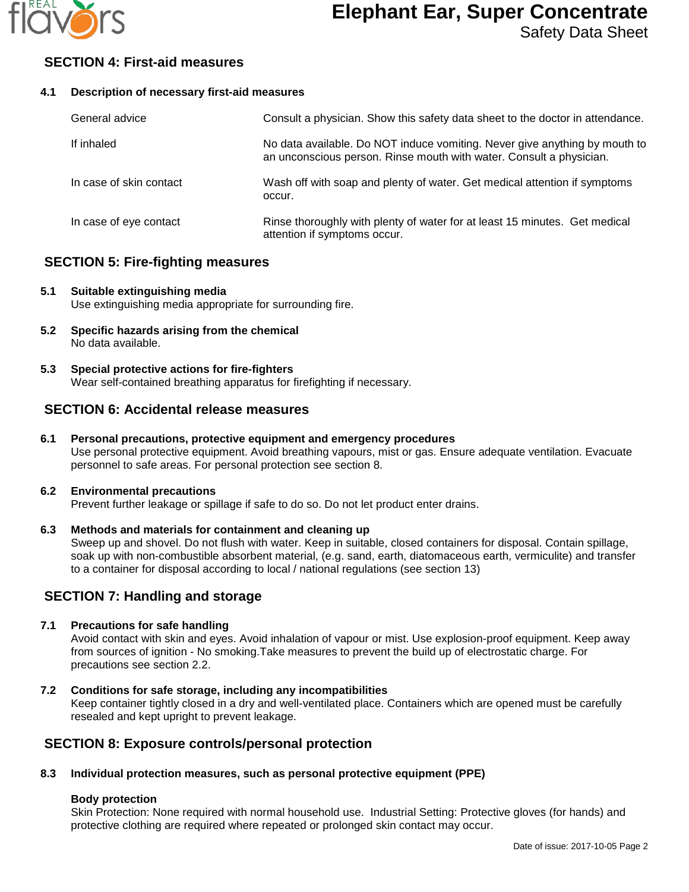

# **Elephant Ear, Super Concentrate**

## **SECTION 4: First-aid measures**

### **4.1 Description of necessary first-aid measures**

| General advice          | Consult a physician. Show this safety data sheet to the doctor in attendance.                                                                     |
|-------------------------|---------------------------------------------------------------------------------------------------------------------------------------------------|
| If inhaled              | No data available. Do NOT induce vomiting. Never give anything by mouth to<br>an unconscious person. Rinse mouth with water. Consult a physician. |
| In case of skin contact | Wash off with soap and plenty of water. Get medical attention if symptoms<br>occur.                                                               |
| In case of eye contact  | Rinse thoroughly with plenty of water for at least 15 minutes. Get medical<br>attention if symptoms occur.                                        |

## **SECTION 5: Fire-fighting measures**

### **5.1 Suitable extinguishing media** Use extinguishing media appropriate for surrounding fire.

- **5.2 Specific hazards arising from the chemical**
	- No data available.
- **5.3 Special protective actions for fire-fighters** Wear self-contained breathing apparatus for firefighting if necessary.

## **SECTION 6: Accidental release measures**

## **6.1 Personal precautions, protective equipment and emergency procedures**

Use personal protective equipment. Avoid breathing vapours, mist or gas. Ensure adequate ventilation. Evacuate personnel to safe areas. For personal protection see section 8.

### **6.2 Environmental precautions**

Prevent further leakage or spillage if safe to do so. Do not let product enter drains.

### **6.3 Methods and materials for containment and cleaning up**

Sweep up and shovel. Do not flush with water. Keep in suitable, closed containers for disposal. Contain spillage, soak up with non-combustible absorbent material, (e.g. sand, earth, diatomaceous earth, vermiculite) and transfer to a container for disposal according to local / national regulations (see section 13)

## **SECTION 7: Handling and storage**

### **7.1 Precautions for safe handling**

Avoid contact with skin and eyes. Avoid inhalation of vapour or mist. Use explosion-proof equipment. Keep away from sources of ignition - No smoking.Take measures to prevent the build up of electrostatic charge. For precautions see section 2.2.

**7.2 Conditions for safe storage, including any incompatibilities**

Keep container tightly closed in a dry and well-ventilated place. Containers which are opened must be carefully resealed and kept upright to prevent leakage.

## **SECTION 8: Exposure controls/personal protection**

## **8.3 Individual protection measures, such as personal protective equipment (PPE)**

## **Body protection**

Skin Protection: None required with normal household use. Industrial Setting: Protective gloves (for hands) and protective clothing are required where repeated or prolonged skin contact may occur.